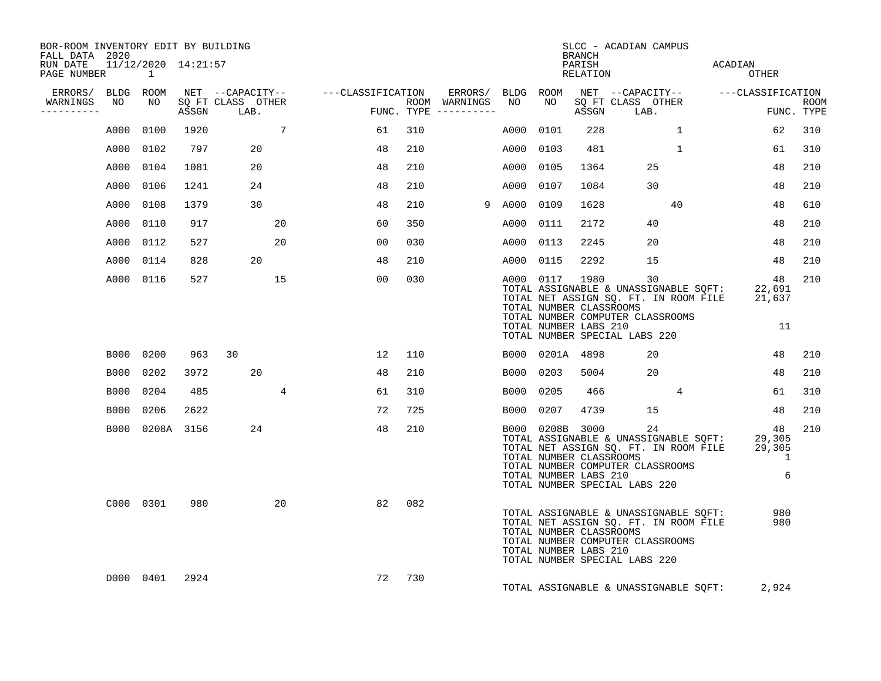| BOR-ROOM INVENTORY EDIT BY BUILDING<br>FALL DATA 2020 |                 |      |                                 |                |        |                                         |        |                                                                     | <b>BRANCH</b> | SLCC - ACADIAN CAMPUS                                                                                                                                                   |                                         |                           |
|-------------------------------------------------------|-----------------|------|---------------------------------|----------------|--------|-----------------------------------------|--------|---------------------------------------------------------------------|---------------|-------------------------------------------------------------------------------------------------------------------------------------------------------------------------|-----------------------------------------|---------------------------|
| RUN DATE 11/12/2020 14:21:57<br>PAGE NUMBER           | $\sim$ 1        |      |                                 |                |        |                                         |        |                                                                     |               | RELATION<br>RELATION                                                                                                                                                    | ACADIAN<br>OTHER                        |                           |
| ERRORS/ BLDG ROOM                                     |                 |      |                                 |                |        |                                         |        |                                                                     |               | NET --CAPACITY--    ---CLASSIFICATION  ERRORS/ BLDG ROOM NET --CAPACITY--   ---CLASSIFICATION                                                                           |                                         |                           |
| WARNINGS<br>NO<br>----------                          | NO              |      | SQ FT CLASS OTHER<br>ASSGN LAB. | FUN            |        | ROOM WARNINGS NO<br>FUNC. TYPE $------$ |        | NO                                                                  |               | SQ FT CLASS OTHER<br>ASSGN LAB.                                                                                                                                         |                                         | <b>ROOM</b><br>FUNC. TYPE |
|                                                       | A000 0100       | 1920 | $\overline{7}$                  |                | 61     | 310                                     | A000   | 0101                                                                | 228           | $\mathbf{1}$                                                                                                                                                            | 62                                      | 310                       |
|                                                       | A000 0102       | 797  | 20                              |                | 48     | 210                                     | A000   | 0103                                                                | 481           | $\mathbf{1}$                                                                                                                                                            | 61                                      | 310                       |
|                                                       | A000 0104       | 1081 | 20                              |                | 48     | 210                                     | A000   | 0105                                                                | 1364          | 25                                                                                                                                                                      | 48                                      | 210                       |
| A000                                                  | 0106            | 1241 | 24                              |                | 48     | 210                                     | A000   | 0107                                                                | 1084          | 30                                                                                                                                                                      | 48                                      | 210                       |
|                                                       | A000 0108       | 1379 | 30                              |                | 48     | 210                                     | 9 A000 | 0109                                                                | 1628          | 40                                                                                                                                                                      | 48                                      | 610                       |
|                                                       | A000 0110       | 917  |                                 | 20             | 60     | 350                                     | A000   | 0111                                                                | 2172          | 40                                                                                                                                                                      | 48                                      | 210                       |
|                                                       | A000 0112       | 527  |                                 | 20             | 00     | 030                                     | A000   | 0113                                                                | 2245          | 20                                                                                                                                                                      | 48                                      | 210                       |
|                                                       | A000 0114       | 828  | 20                              |                | 48     | 210                                     | A000   | 0115                                                                | 2292          | 15                                                                                                                                                                      | 48                                      | 210                       |
|                                                       | A000 0116       | 527  | 15                              |                | 00     | 030                                     |        | A000 0117 1980<br>TOTAL NUMBER CLASSROOMS<br>TOTAL NUMBER LABS 210  |               | 30<br>TOTAL ASSIGNABLE & UNASSIGNABLE SQFT: 22,691<br>TOTAL NET ASSIGN SQ. FT. IN ROOM FILE 21,637<br>TOTAL NUMBER COMPUTER CLASSROOMS<br>TOTAL NUMBER SPECIAL LABS 220 | 48<br>11                                | 210                       |
|                                                       | B000 0200       |      | 963 30                          |                | 12     | 110                                     |        | B000 0201A 4898                                                     |               | 20                                                                                                                                                                      | 48                                      | 210                       |
|                                                       | B000 0202       | 3972 | 20                              |                | 48     | 210                                     | B000   | 0203                                                                | 5004          | 20                                                                                                                                                                      | 48                                      | 210                       |
|                                                       | B000 0204       | 485  |                                 | $\overline{4}$ | 61     | 310                                     | B000   | 0205                                                                | 466           | $\overline{4}$                                                                                                                                                          | 61                                      | 310                       |
|                                                       | B000 0206       | 2622 |                                 |                | 72     | 725                                     |        | B000 0207                                                           | 4739          | 15                                                                                                                                                                      | 48                                      | 210                       |
|                                                       | B000 0208A 3156 |      | 24                              |                | 48     | 210                                     |        | B000 0208B 3000<br>TOTAL NUMBER CLASSROOMS<br>TOTAL NUMBER LABS 210 |               | 24<br>TOTAL ASSIGNABLE & UNASSIGNABLE SQFT:<br>TOTAL NET ASSIGN SQ. FT. IN ROOM FILE<br>TOTAL NUMBER COMPUTER CLASSROOMS<br>TOTAL NUMBER SPECIAL LABS 220               | 48<br>29,305<br>29,305<br>$\sim$ 1<br>6 | 210                       |
|                                                       | C000 0301       | 980  |                                 | 20             | 82     | 082                                     |        | TOTAL NUMBER CLASSROOMS<br>TOTAL NUMBER LABS 210                    |               | TOTAL ASSIGNABLE & UNASSIGNABLE SOFT:<br>TOTAL NET ASSIGN SQ. FT. IN ROOM FILE<br>TOTAL NUMBER COMPUTER CLASSROOMS<br>TOTAL NUMBER SPECIAL LABS 220                     | 980<br>980                              |                           |
|                                                       | D000 0401       | 2924 |                                 |                | 72 730 |                                         |        |                                                                     |               | TOTAL ASSIGNABLE & UNASSIGNABLE SQFT:                                                                                                                                   | 2,924                                   |                           |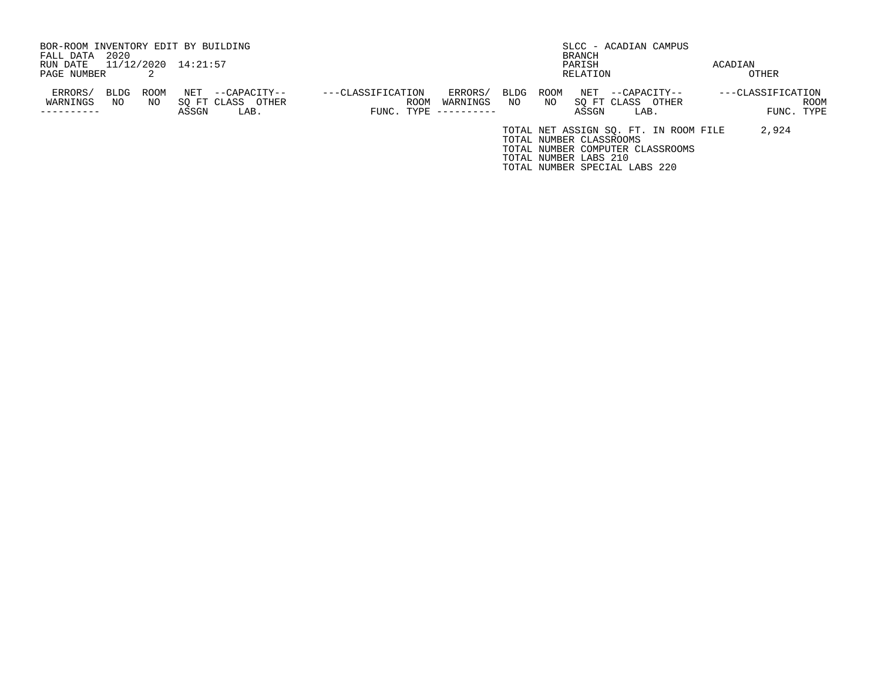| BOR-ROOM INVENTORY EDIT BY BUILDING |      |      |                     |                   |                     |          |      |                         |          |                               | SLCC - ACADIAN CAMPUS                 |                   |      |
|-------------------------------------|------|------|---------------------|-------------------|---------------------|----------|------|-------------------------|----------|-------------------------------|---------------------------------------|-------------------|------|
| FALL DATA                           | 2020 |      |                     |                   |                     |          |      |                         | BRANCH   |                               |                                       |                   |      |
| RUN DATE                            |      |      | 11/12/2020 14:21:57 |                   |                     |          |      |                         | PARISH   |                               |                                       | ACADIAN           |      |
| PAGE NUMBER                         |      |      |                     |                   |                     |          |      |                         | RELATION |                               |                                       | OTHER             |      |
| ERRORS/                             | BLDG | ROOM | NET                 | --CAPACITY--      | ---CLASSIFICATION   | ERRORS/  | BLDG | ROOM                    | NET      | --CAPACITY--                  |                                       | ---CLASSIFICATION |      |
| WARNINGS                            | NO   | NO   |                     | SO FT CLASS OTHER | ROOM                | WARNINGS | NO   | NO.                     |          | SO FT CLASS                   | OTHER                                 |                   | ROOM |
|                                     |      |      | ASSGN               | LAB.              | FUNC. TYPE $------$ |          |      |                         | ASSGN    | LAB.                          |                                       | FUNC. TYPE        |      |
|                                     |      |      |                     |                   |                     |          |      |                         |          |                               | TOTAL NET ASSIGN SO. FT. IN ROOM FILE | 2,924             |      |
|                                     |      |      |                     |                   |                     |          |      | TOTAL NUMBER CLASSROOMS |          |                               |                                       |                   |      |
|                                     |      |      |                     |                   |                     |          |      |                         |          |                               | TOTAL NUMBER COMPUTER CLASSROOMS      |                   |      |
|                                     |      |      |                     |                   |                     |          |      | TOTAL NUMBER LABS 210   |          |                               |                                       |                   |      |
|                                     |      |      |                     |                   |                     |          |      |                         |          | TOTAL NUMBER SPECIAL LABS 220 |                                       |                   |      |